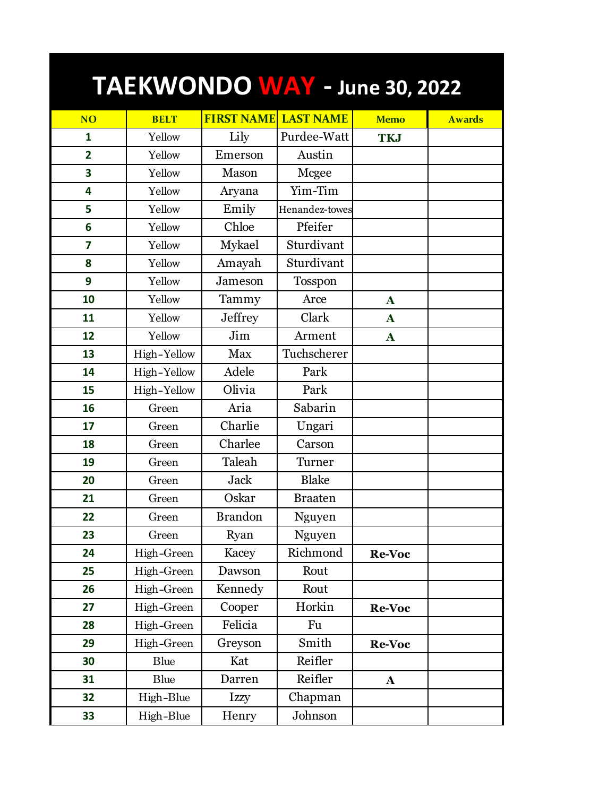| TAEKWONDO WAY - June 30, 2022 |             |                   |                  |               |               |  |  |  |
|-------------------------------|-------------|-------------------|------------------|---------------|---------------|--|--|--|
| <b>NO</b>                     | <b>BELT</b> | <b>FIRST NAME</b> | <b>LAST NAME</b> | <b>Memo</b>   | <b>Awards</b> |  |  |  |
| $\mathbf{1}$                  | Yellow      | Lily              | Purdee-Watt      | <b>TKJ</b>    |               |  |  |  |
| $\overline{2}$                | Yellow      | Emerson           | Austin           |               |               |  |  |  |
| 3                             | Yellow      | Mason             | Mcgee            |               |               |  |  |  |
| 4                             | Yellow      | Aryana            | Yim-Tim          |               |               |  |  |  |
| 5                             | Yellow      | Emily             | Henandez-towes   |               |               |  |  |  |
| 6                             | Yellow      | Chloe             | Pfeifer          |               |               |  |  |  |
| $\overline{\mathbf{z}}$       | Yellow      | Mykael            | Sturdivant       |               |               |  |  |  |
| 8                             | Yellow      | Amayah            | Sturdivant       |               |               |  |  |  |
| 9                             | Yellow      | Jameson           | <b>Tosspon</b>   |               |               |  |  |  |
| 10                            | Yellow      | Tammy             | Arce             | $\mathbf{A}$  |               |  |  |  |
| 11                            | Yellow      | <b>Jeffrey</b>    | Clark            | $\mathbf A$   |               |  |  |  |
| 12                            | Yellow      | Jim               | Arment           | $\mathbf{A}$  |               |  |  |  |
| 13                            | High-Yellow | <b>Max</b>        | Tuchscherer      |               |               |  |  |  |
| 14                            | High-Yellow | Adele             | Park             |               |               |  |  |  |
| 15                            | High-Yellow | Olivia            | Park             |               |               |  |  |  |
| 16                            | Green       | Aria              | Sabarin          |               |               |  |  |  |
| 17                            | Green       | Charlie           | Ungari           |               |               |  |  |  |
| 18                            | Green       | Charlee           | Carson           |               |               |  |  |  |
| 19                            | Green       | Taleah            | Turner           |               |               |  |  |  |
| 20                            | Green       | <b>Jack</b>       | <b>Blake</b>     |               |               |  |  |  |
| 21                            | Green       | Oskar             | <b>Braaten</b>   |               |               |  |  |  |
| 22                            | Green       | <b>Brandon</b>    | Nguyen           |               |               |  |  |  |
| 23                            | Green       | Ryan              | Nguyen           |               |               |  |  |  |
| 24                            | High-Green  | Kacey             | Richmond         | <b>Re-Voc</b> |               |  |  |  |
| 25                            | High-Green  | Dawson            | Rout             |               |               |  |  |  |
| 26                            | High-Green  | Kennedy           | Rout             |               |               |  |  |  |
| 27                            | High-Green  | Cooper            | Horkin           | Re-Voc        |               |  |  |  |
| 28                            | High-Green  | Felicia           | Fu               |               |               |  |  |  |
| 29                            | High-Green  | Greyson           | Smith            | Re-Voc        |               |  |  |  |
| 30                            | Blue        | Kat               | Reifler          |               |               |  |  |  |
| 31                            | Blue        | Darren            | Reifler          | $\mathbf A$   |               |  |  |  |
| 32                            | High-Blue   | Izzy              | Chapman          |               |               |  |  |  |
| 33                            | High-Blue   | Henry             | Johnson          |               |               |  |  |  |